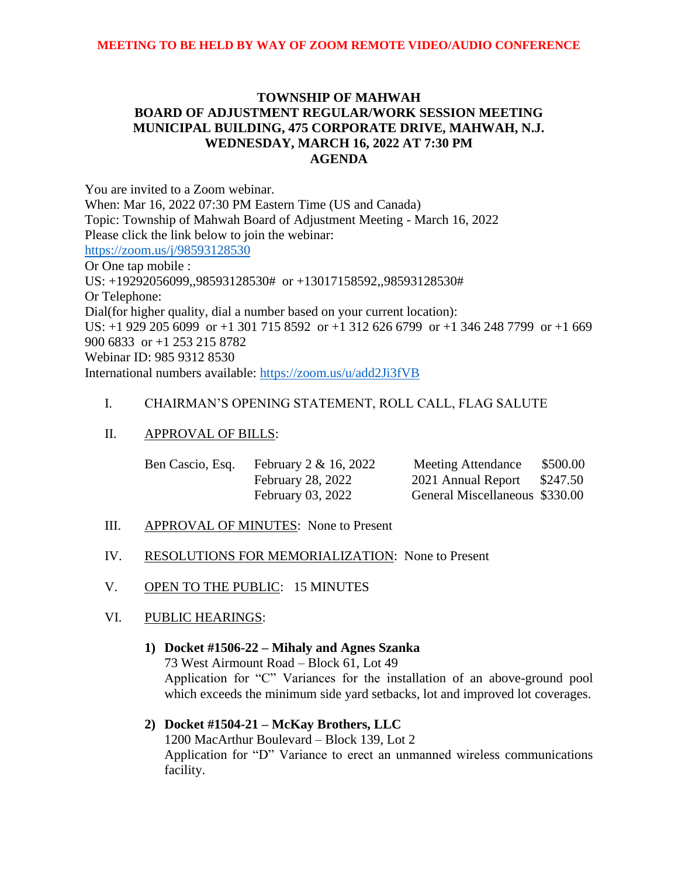# **TOWNSHIP OF MAHWAH BOARD OF ADJUSTMENT REGULAR/WORK SESSION MEETING MUNICIPAL BUILDING, 475 CORPORATE DRIVE, MAHWAH, N.J. WEDNESDAY, MARCH 16, 2022 AT 7:30 PM AGENDA**

You are invited to a Zoom webinar. When: Mar 16, 2022 07:30 PM Eastern Time (US and Canada) Topic: Township of Mahwah Board of Adjustment Meeting - March 16, 2022 Please click the link below to join the webinar: <https://zoom.us/j/98593128530> Or One tap mobile : US: +19292056099,,98593128530# or +13017158592,,98593128530# Or Telephone: Dial(for higher quality, dial a number based on your current location): US: +1 929 205 6099 or +1 301 715 8592 or +1 312 626 6799 or +1 346 248 7799 or +1 669 900 6833 or +1 253 215 8782 Webinar ID: 985 9312 8530 International numbers available:<https://zoom.us/u/add2Ji3fVB>

# I. CHAIRMAN'S OPENING STATEMENT, ROLL CALL, FLAG SALUTE

## II. APPROVAL OF BILLS:

| Ben Cascio, Esq. February $2 & 16, 2022$ | <b>Meeting Attendance</b>      | \$500.00 |
|------------------------------------------|--------------------------------|----------|
| <b>February 28, 2022</b>                 | 2021 Annual Report             | \$247.50 |
| February 03, 2022                        | General Miscellaneous \$330.00 |          |

- III. APPROVAL OF MINUTES: None to Present
- IV. RESOLUTIONS FOR MEMORIALIZATION: None to Present
- V. OPEN TO THE PUBLIC: 15 MINUTES

## VI. PUBLIC HEARINGS:

# **1) Docket #1506-22 – Mihaly and Agnes Szanka** 73 West Airmount Road – Block 61, Lot 49 Application for "C" Variances for the installation of an above-ground pool which exceeds the minimum side yard setbacks, lot and improved lot coverages.

# **2) Docket #1504-21 – McKay Brothers, LLC** 1200 MacArthur Boulevard – Block 139, Lot 2 Application for "D" Variance to erect an unmanned wireless communications facility.